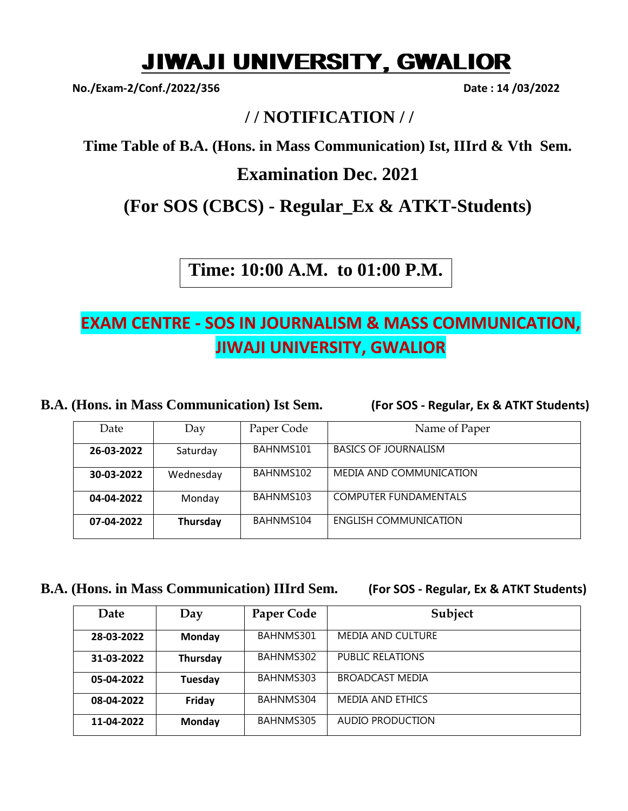# JIWAJI UNIVERSITY, GWALIOR

**No./Exam-2/Conf./2022/356 Date : 14 /03/2022**

## **/ / NOTIFICATION / /**

**Time Table of B.A. (Hons. in Mass Communication) Ist, IIIrd & Vth Sem.** 

### **Examination Dec. 2021**

**(For SOS (CBCS) - Regular\_Ex & ATKT-Students)**

**Time: 10:00 A.M. to 01:00 P.M.**

# **EXAM CENTRE - SOS IN JOURNALISM & MASS COMMUNICATION, JIWAJI UNIVERSITY, GWALIOR**

**B.A. (Hons. in Mass Communication) Ist Sem. (For SOS - Regular, Ex & ATKT Students)**

| Date       | Day       | Paper Code | Name of Paper                |
|------------|-----------|------------|------------------------------|
| 26-03-2022 | Saturday  | BAHNMS101  | <b>BASICS OF JOURNALISM</b>  |
| 30-03-2022 | Wednesday | BAHNMS102  | MEDIA AND COMMUNICATION      |
| 04-04-2022 | Monday    | BAHNMS103  | <b>COMPUTER FUNDAMENTALS</b> |
| 07-04-2022 | Thursday  | BAHNMS104  | ENGLISH COMMUNICATION        |

### **B.A. (Hons. in Mass Communication) IIIrd Sem. (For SOS - Regular, Ex & ATKT Students)**

| Date       | Day      | Paper Code | Subject                  |
|------------|----------|------------|--------------------------|
| 28-03-2022 | Monday   | BAHNMS301  | <b>MEDIA AND CULTURE</b> |
| 31-03-2022 | Thursday | BAHNMS302  | <b>PUBLIC RELATIONS</b>  |
| 05-04-2022 | Tuesday  | BAHNMS303  | <b>BROADCAST MEDIA</b>   |
| 08-04-2022 | Friday   | BAHNMS304  | MEDIA AND ETHICS         |
| 11-04-2022 | Monday   | BAHNMS305  | <b>AUDIO PRODUCTION</b>  |